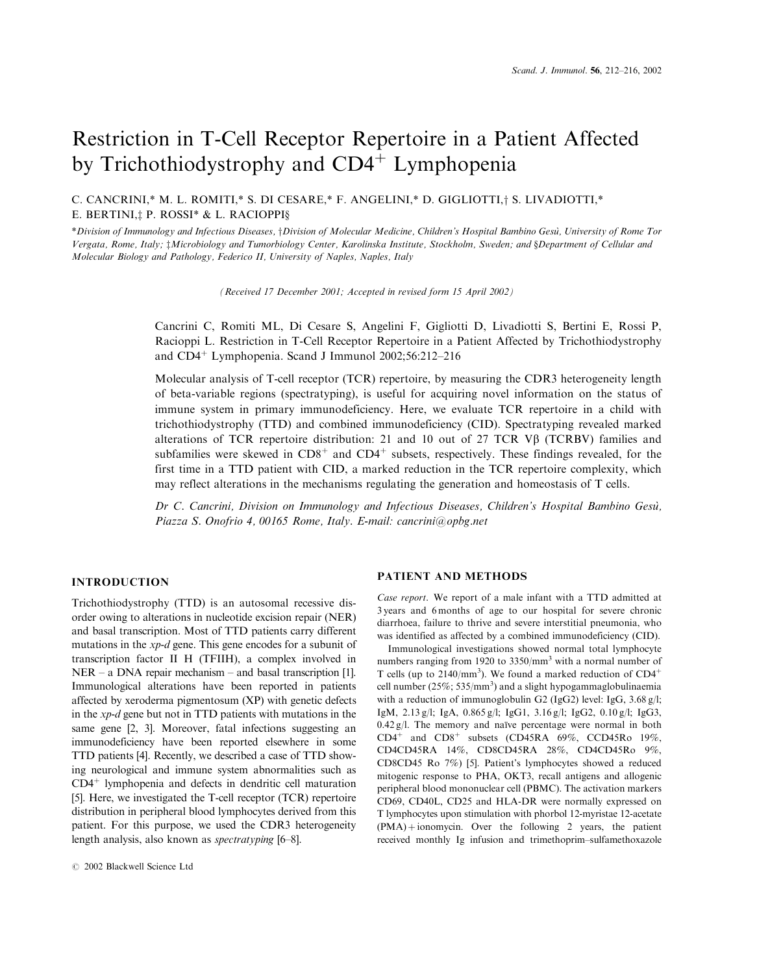# Restriction in T-Cell Receptor Repertoire in a Patient Affected by Trichothiodystrophy and CD4<sup>+</sup> Lymphopenia

C. CANCRINI,\* M. L. ROMITI,\* S. DI CESARE,\* F. ANGELINI,\* D. GIGLIOTTI,† S. LIVADIOTTI,\* E. BERTINI,<sup>†</sup> P. ROSSI\* & L. RACIOPPI§

\*Division of Immunology and Infectious Diseases, †Division of Molecular Medicine, Children's Hospital Bambino Gesù, University of Rome Tor Vergata, Rome, Italy; *Microbiology and Tumorbiology Center, Karolinska Institute, Stockholm, Sweden; and §Department of Cellular and* Molecular Biology and Pathology, Federico II, University of Naples, Naples, Italy

(Received 17 December 2001; Accepted in revised form 15 April 2002)

Cancrini C, Romiti ML, Di Cesare S, Angelini F, Gigliotti D, Livadiotti S, Bertini E, Rossi P, Racioppi L. Restriction in T-Cell Receptor Repertoire in a Patient Affected by Trichothiodystrophy and  $CD4^+$  Lymphopenia. Scand J Immunol 2002;56:212-216

Molecular analysis of T-cell receptor (TCR) repertoire, by measuring the CDR3 heterogeneity length of beta-variable regions (spectratyping), is useful for acquiring novel information on the status of immune system in primary immunodeficiency. Here, we evaluate TCR repertoire in a child with trichothiodystrophy (TTD) and combined immunodeficiency (CID). Spectratyping revealed marked alterations of TCR repertoire distribution: 21 and 10 out of 27 TCR V $\beta$  (TCRBV) families and subfamilies were skewed in  $CD8<sup>+</sup>$  and  $CD4<sup>+</sup>$  subsets, respectively. These findings revealed, for the first time in a TTD patient with CID, a marked reduction in the TCR repertoire complexity, which may reflect alterations in the mechanisms regulating the generation and homeostasis of T cells.

Dr C. Cancrini, Division on Immunology and Infectious Diseases, Children's Hospital Bambino Gesu, Piazza S. Onofrio 4, 00165 Rome, Italy. E-mail: cancrini@opbg.net

### **INTRODUCTION**

Trichothiodystrophy (TTD) is an autosomal recessive disorder owing to alterations in nucleotide excision repair (NER) and basal transcription. Most of TTD patients carry different mutations in the  $xp-d$  gene. This gene encodes for a subunit of transcription factor II H (TFIIH), a complex involved in  $NER - a DNA repair mechanism - and basal transcription [1].$ Immunological alterations have been reported in patients affected by xeroderma pigmentosum (XP) with genetic defects in the  $xp-d$  gene but not in TTD patients with mutations in the same gene [2, 3]. Moreover, fatal infections suggesting an immunodeficiency have been reported elsewhere in some TTD patients [4]. Recently, we described a case of TTD showing neurological and immune system abnormalities such as  $CD4<sup>+</sup>$  lymphopenia and defects in dendritic cell maturation [5]. Here, we investigated the T-cell receptor (TCR) repertoire distribution in peripheral blood lymphocytes derived from this patient. For this purpose, we used the CDR3 heterogeneity length analysis, also known as *spectratyping* [6–8].

#### PATIENT AND METHODS

Case report. We report of a male infant with a TTD admitted at 3 years and 6 months of age to our hospital for severe chronic diarrhoea, failure to thrive and severe interstitial pneumonia, who was identified as affected by a combined immunodeficiency (CID).

Immunological investigations showed normal total lymphocyte numbers ranging from 1920 to  $3350/\text{mm}^3$  with a normal number of T cells (up to  $2140/\text{mm}^3$ ). We found a marked reduction of CD4<sup>+</sup> cell number ( $25\%$ ;  $535/\text{mm}^3$ ) and a slight hypogammaglobulinaemia with a reduction of immunoglobulin G2 (IgG2) level: IgG,  $3.68 \text{ g/l}$ ; IgM, 2.13 g/l; IgA, 0.865 g/l; IgG1, 3.16 g/l; IgG2, 0.10 g/l; IgG3,  $0.42$  g/l. The memory and naïve percentage were normal in both  $CD4^+$  and  $CD8^+$  subsets (CD45RA 69%, CCD45Ro 19%, CD4CD45RA 14%, CD8CD45RA 28%, CD4CD45Ro 9%, CD8CD45 Ro 7%) [5]. Patient's lymphocytes showed a reduced mitogenic response to PHA, OKT3, recall antigens and allogenic peripheral blood mononuclear cell (PBMC). The activation markers CD69, CD40L, CD25 and HLA-DR were normally expressed on T lymphocytes upon stimulation with phorbol 12-myristae 12-acetate  $(PMA)$ +ionomycin. Over the following 2 years, the patient received monthly Ig infusion and trimethoprim-sulfamethoxazole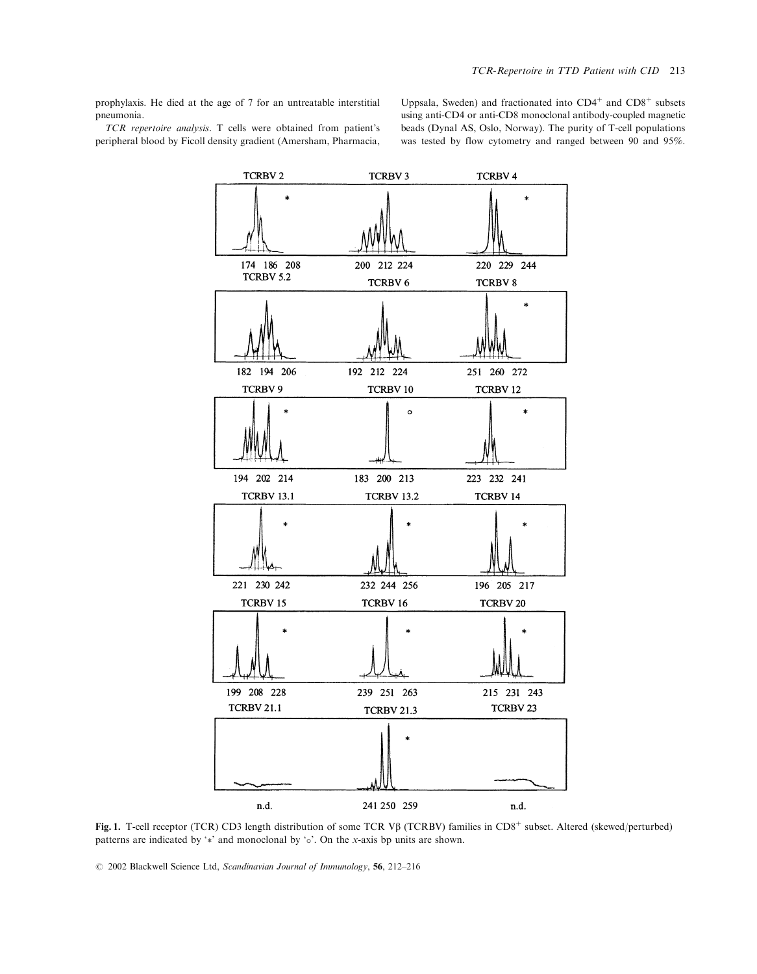prophylaxis. He died at the age of 7 for an untreatable interstitial pneumonia. TCR repertoire analysis. T cells were obtained from patient's

peripheral blood by Ficoll density gradient (Amersham, Pharmacia,

**TCRBV2** 

Uppsala, Sweden) and fractionated into CD4<sup>+</sup> and CD8<sup>+</sup> subsets using anti-CD4 or anti-CD8 monoclonal antibody-coupled magnetic beads (Dynal AS, Oslo, Norway). The purity of T-cell populations was tested by flow cytometry and ranged between 90 and 95%.

**TCRBV4** 

**TCRBV3** 

Fig. 1. T-cell receptor (TCR) CD3 length distribution of some TCR Vβ (TCRBV) families in CD8<sup>+</sup> subset. Altered (skewed/perturbed) patterns are indicated by '\*' and monoclonal by ' $\circ$ '. On the x-axis bp units are shown.

241 250 259

n.d.

© 2002 Blackwell Science Ltd, Scandinavian Journal of Immunology, 56, 212-216

n.d.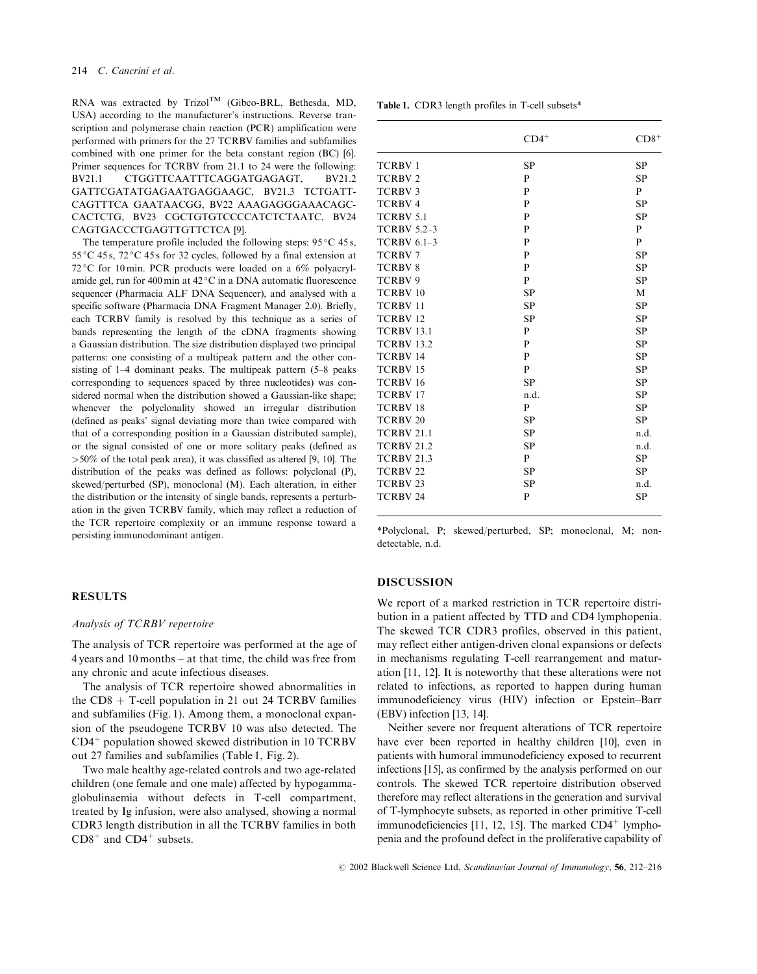RNA was extracted by Trizol<sup>TM</sup> (Gibco-BRL, Bethesda, MD, USA) according to the manufacturer's instructions. Reverse transcription and polymerase chain reaction (PCR) amplification were performed with primers for the 27 TCRBV families and subfamilies combined with one primer for the beta constant region (BC) [6]. Primer sequences for TCRBV from 21.1 to 24 were the following: **RV211** CTGGTTCAATTTCAGGATGAGAGT.  $RV212$ GATTCGATATGAGAATGAGGAAGC, BV21.3 TCTGATT-CAGTTTCA GAATAACGG, BV22 AAAGAGGGAAACAGC-CACTCTG, BV23 CGCTGTGTCCCCATCTCTAATC, BV24 CAGTGACCCTGAGTTGTTCTCA [9].

The temperature profile included the following steps:  $95^{\circ}$ C 45 s,  $55^{\circ}$ C 45s,  $72^{\circ}$ C 45s for 32 cycles, followed by a final extension at 72 °C for 10 min. PCR products were loaded on a 6% polyacrylamide gel, run for 400 min at 42 °C in a DNA automatic fluorescence sequencer (Pharmacia ALF DNA Sequencer), and analysed with a specific software (Pharmacia DNA Fragment Manager 2.0). Briefly, each TCRBV family is resolved by this technique as a series of bands representing the length of the cDNA fragments showing a Gaussian distribution. The size distribution displayed two principal patterns: one consisting of a multipeak pattern and the other consisting of 1–4 dominant peaks. The multipeak pattern (5–8 peaks corresponding to sequences spaced by three nucleotides) was considered normal when the distribution showed a Gaussian-like shape; whenever the polyclonality showed an irregular distribution (defined as peaks' signal deviating more than twice compared with that of a corresponding position in a Gaussian distributed sample), or the signal consisted of one or more solitary peaks (defined as  $>50\%$  of the total peak area), it was classified as altered [9, 10]. The distribution of the peaks was defined as follows: polyclonal (P), skewed/perturbed (SP), monoclonal (M). Each alteration, in either the distribution or the intensity of single bands, represents a perturbation in the given TCRBV family, which may reflect a reduction of the TCR repertoire complexity or an immune response toward a persisting immunodominant antigen.

# **RESULTS**

#### Analysis of TCRBV repertoire

The analysis of TCR repertoire was performed at the age of  $4$  years and 10 months – at that time, the child was free from any chronic and acute infectious diseases.

The analysis of TCR repertoire showed abnormalities in the  $CD8 + T$ -cell population in 21 out 24 TCRBV families and subfamilies (Fig. 1). Among them, a monoclonal expansion of the pseudogene TCRBV 10 was also detected. The  $CD4<sup>+</sup>$  population showed skewed distribution in 10 TCRBV out 27 families and subfamilies (Table 1, Fig. 2).

Two male healthy age-related controls and two age-related children (one female and one male) affected by hypogammaglobulinaemia without defects in T-cell compartment, treated by Ig infusion, were also analysed, showing a normal CDR3 length distribution in all the TCRBV families in both  $CD8<sup>+</sup>$  and  $CD4<sup>+</sup>$  subsets.

| Table 1. CDR3 length profiles in T-cell subsets* |  |  |  |  |  |  |
|--------------------------------------------------|--|--|--|--|--|--|
|--------------------------------------------------|--|--|--|--|--|--|

|                     | $CD4^+$      | $CD8+$       |
|---------------------|--------------|--------------|
| <b>TCRBV1</b>       | <b>SP</b>    | <b>SP</b>    |
| <b>TCRBV2</b>       | $\mathbf{P}$ | <b>SP</b>    |
| <b>TCRBV3</b>       | P            | $\mathbf{P}$ |
| <b>TCRBV4</b>       | $\mathbf{P}$ | <b>SP</b>    |
| <b>TCRBV 5.1</b>    | $\mathbf{P}$ | <b>SP</b>    |
| <b>TCRBV 5.2-3</b>  | $\mathbf{P}$ | $\mathbf P$  |
| <b>TCRBV 6.1-3</b>  | $\mathbf{P}$ | $\mathbf{P}$ |
| <b>TCRBV7</b>       | $\mathbf{P}$ | <b>SP</b>    |
| <b>TCRBV8</b>       | $\mathbf{P}$ | <b>SP</b>    |
| TCRBV9              | P            | <b>SP</b>    |
| TCRBV <sub>10</sub> | <b>SP</b>    | M            |
| TCRBV <sub>11</sub> | <b>SP</b>    | <b>SP</b>    |
| TCRBV <sub>12</sub> | <b>SP</b>    | <b>SP</b>    |
| <b>TCRBV 13.1</b>   | $\mathbf{P}$ | <b>SP</b>    |
| <b>TCRBV 13.2</b>   | $\mathbf{P}$ | <b>SP</b>    |
| <b>TCRBV 14</b>     | $\mathbf{P}$ | <b>SP</b>    |
| <b>TCRBV15</b>      | $\mathbf{P}$ | <b>SP</b>    |
| TCRBV <sub>16</sub> | <b>SP</b>    | <b>SP</b>    |
| <b>TCRBV17</b>      | n.d.         | <b>SP</b>    |
| <b>TCRBV18</b>      | $\mathbf{P}$ | <b>SP</b>    |
| TCRBV <sub>20</sub> | <b>SP</b>    | <b>SP</b>    |
| <b>TCRBV 21.1</b>   | <b>SP</b>    | n.d.         |
| <b>TCRBV 21.2</b>   | <b>SP</b>    | n.d.         |
| <b>TCRBV 21.3</b>   | $\mathbf{P}$ | <b>SP</b>    |
| <b>TCRBV 22</b>     | <b>SP</b>    | <b>SP</b>    |
| TCRBV <sub>23</sub> | <b>SP</b>    | n.d.         |
| TCRBV <sub>24</sub> | $\mathbf{P}$ | <b>SP</b>    |

\*Polyclonal, P; skewed/perturbed, SP; monoclonal, M; nondetectable, n.d.

#### **DISCUSSION**

We report of a marked restriction in TCR repertoire distribution in a patient affected by TTD and CD4 lymphopenia. The skewed TCR CDR3 profiles, observed in this patient, may reflect either antigen-driven clonal expansions or defects in mechanisms regulating T-cell rearrangement and maturation [11, 12]. It is noteworthy that these alterations were not related to infections, as reported to happen during human immunodeficiency virus (HIV) infection or Epstein-Barr (EBV) infection [13, 14].

Neither severe nor frequent alterations of TCR repertoire have ever been reported in healthy children [10], even in patients with humoral immunodeficiency exposed to recurrent infections [15], as confirmed by the analysis performed on our controls. The skewed TCR repertoire distribution observed therefore may reflect alterations in the generation and survival of T-lymphocyte subsets, as reported in other primitive T-cell immunodeficiencies [11, 12, 15]. The marked  $CD4^+$  lymphopenia and the profound defect in the proliferative capability of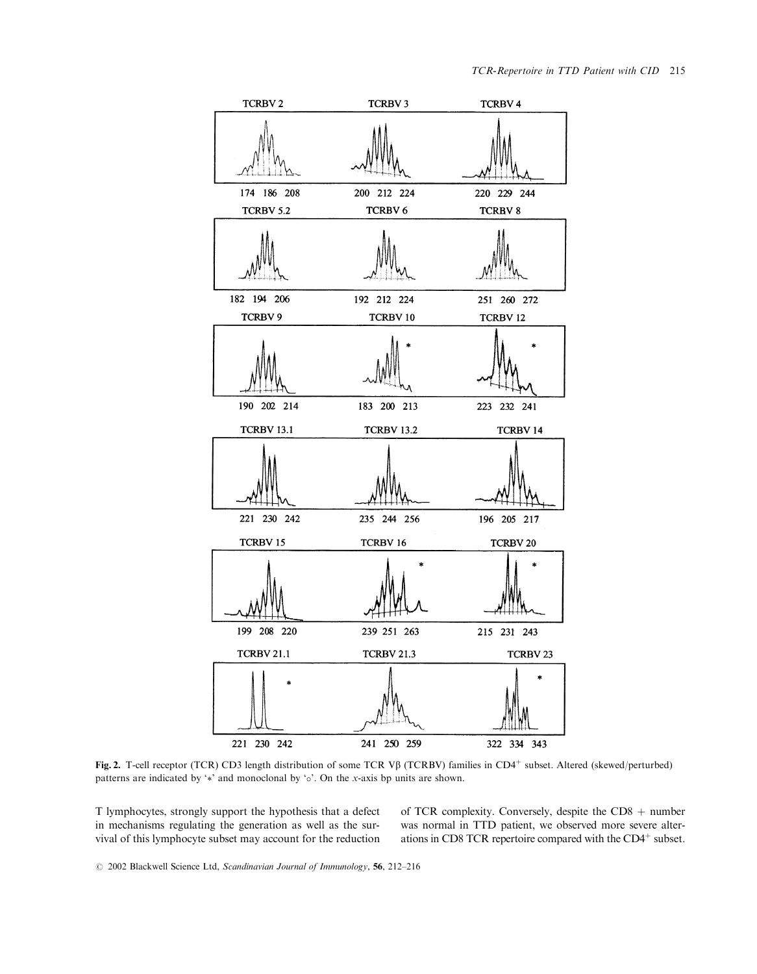

Fig. 2. T-cell receptor (TCR) CD3 length distribution of some TCR Vβ (TCRBV) families in CD4<sup>+</sup> subset. Altered (skewed/perturbed) patterns are indicated by '\*' and monoclonal by ' $\circ$ '. On the x-axis bp units are shown.

T lymphocytes, strongly support the hypothesis that a defect in mechanisms regulating the generation as well as the survival of this lymphocyte subset may account for the reduction of TCR complexity. Conversely, despite the  $CD8 + number$ was normal in TTD patient, we observed more severe alterations in CD8 TCR repertoire compared with the CD4<sup>+</sup> subset.

© 2002 Blackwell Science Ltd, Scandinavian Journal of Immunology, 56, 212-216